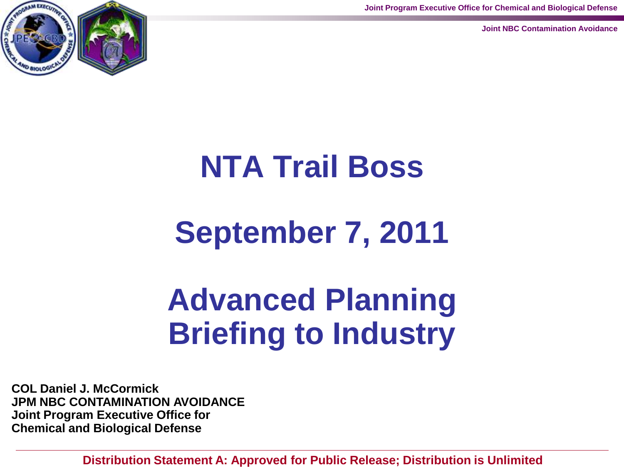**Joint Program Executive Office for Chemical and Biological Defense**

**Joint NBC Contamination Avoidance**



# **NTA Trail Boss**

## **September 7, 2011**

## **Advanced Planning Briefing to Industry**

**COL Daniel J. McCormick JPM NBC CONTAMINATION AVOIDANCE Joint Program Executive Office for Chemical and Biological Defense**

**Distribution Statement A: Approved for Public Release; Distribution is Unlimited**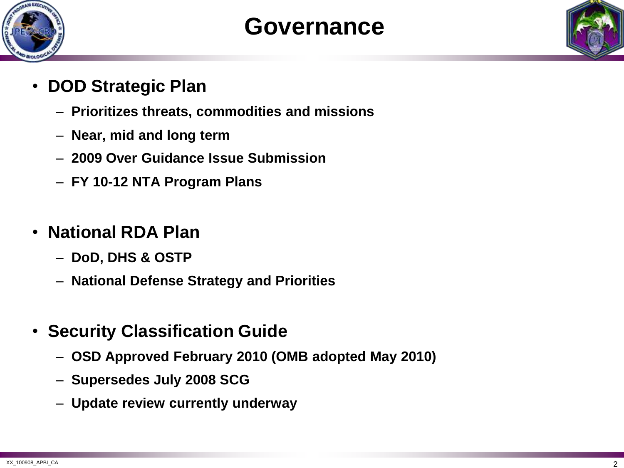

#### **Governance**

- **DOD Strategic Plan**
	- **Prioritizes threats, commodities and missions**
	- **Near, mid and long term**
	- **2009 Over Guidance Issue Submission**
	- **FY 10-12 NTA Program Plans**
- **National RDA Plan**
	- **DoD, DHS & OSTP**
	- **National Defense Strategy and Priorities**
- **Security Classification Guide**
	- **OSD Approved February 2010 (OMB adopted May 2010)**
	- **Supersedes July 2008 SCG**
	- **Update review currently underway**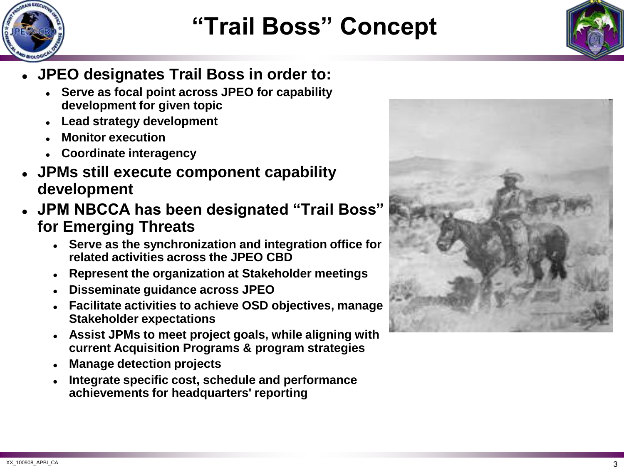

### **"Trail Boss" Concept**



- **JPEO designates Trail Boss in order to:**
	- **Serve as focal point across JPEO for capability development for given topic**
	- **Lead strategy development**
	- **Monitor execution**
	- **Coordinate interagency**
- **JPMs still execute component capability development**
- **JPM NBCCA has been designated "Trail Boss" for Emerging Threats**
	- **Serve as the synchronization and integration office for related activities across the JPEO CBD**
	- **Represent the organization at Stakeholder meetings**
	- **Disseminate guidance across JPEO**
	- **Facilitate activities to achieve OSD objectives, manage Stakeholder expectations**
	- **Assist JPMs to meet project goals, while aligning with current Acquisition Programs & program strategies**
	- **Manage detection projects**
	- **Integrate specific cost, schedule and performance achievements for headquarters' reporting**

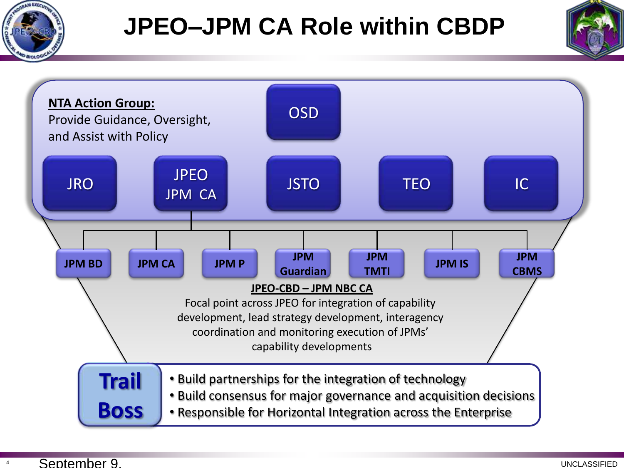

### **JPEO–JPM CA Role within CBDP**



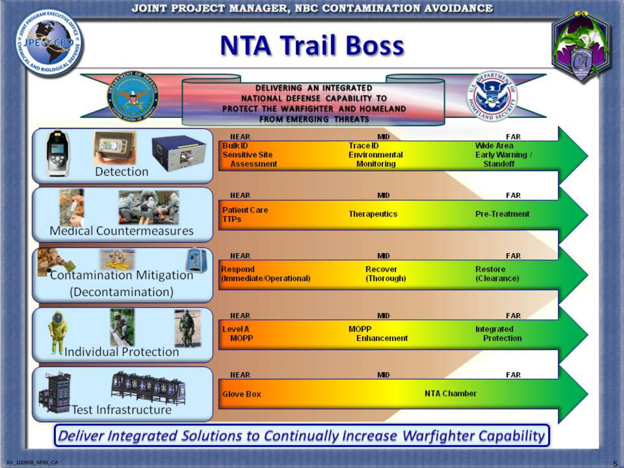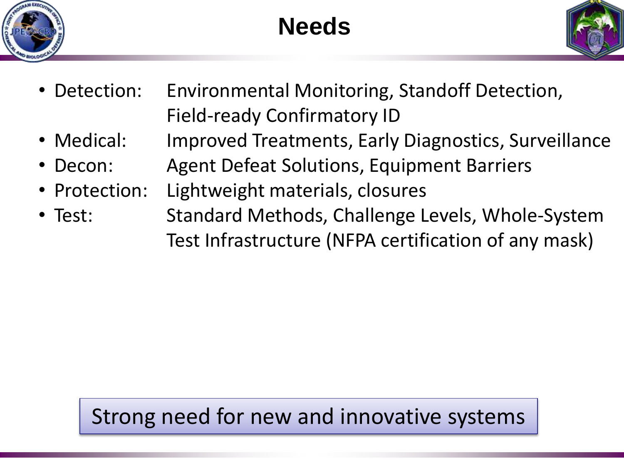





- Detection: Environmental Monitoring, Standoff Detection, Field-ready Confirmatory ID
- Medical: Improved Treatments, Early Diagnostics, Surveillance
- Decon: Agent Defeat Solutions, Equipment Barriers
- Protection: Lightweight materials, closures
- Test: Standard Methods, Challenge Levels, Whole-System Test Infrastructure (NFPA certification of any mask)

#### Strong need for new and innovative systems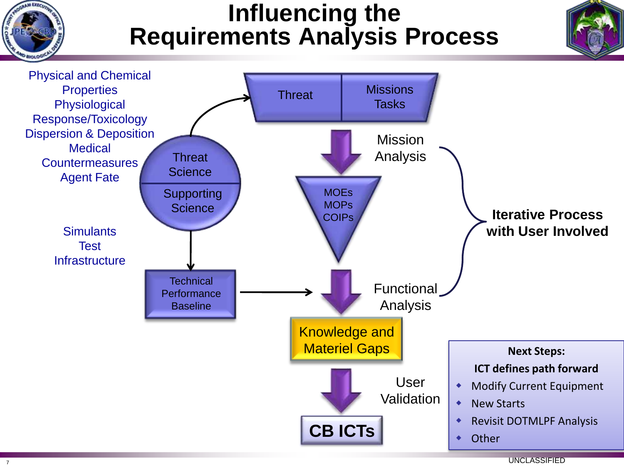

<sup>7</sup> UNCLASSIFIED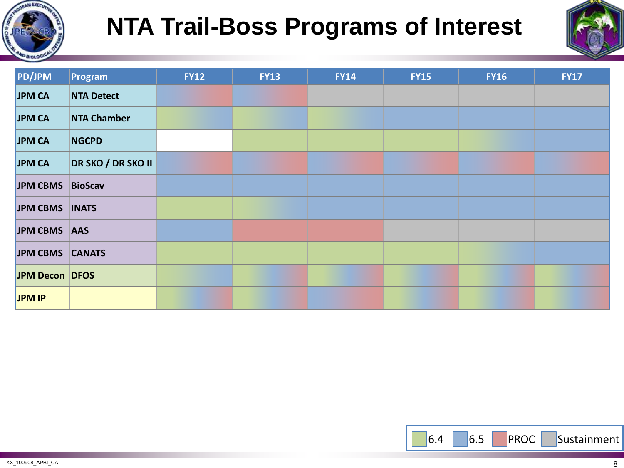

## **NTA Trail-Boss Programs of Interest**



| PD/JPM           | Program            | <b>FY12</b> | <b>FY13</b> | <b>FY14</b> | <b>FY15</b> | <b>FY16</b> | <b>FY17</b> |
|------------------|--------------------|-------------|-------------|-------------|-------------|-------------|-------------|
| JPM CA           | <b>NTA Detect</b>  |             |             |             |             |             |             |
| <b>JPM CA</b>    | <b>NTA Chamber</b> |             |             |             |             |             |             |
| JPM CA           | <b>NGCPD</b>       |             |             |             |             |             |             |
| JPM CA           | DR SKO / DR SKO II |             |             |             |             |             |             |
| JPM CBMS BioScav |                    |             |             |             |             |             |             |
| JPM CBMS   INATS |                    |             |             |             |             |             |             |
| JPM CBMS AAS     |                    |             |             |             |             |             |             |
| JPM CBMS CANATS  |                    |             |             |             |             |             |             |
| JPM Decon DFOS   |                    |             |             |             |             |             |             |
| JPM IP           |                    |             |             |             |             |             |             |